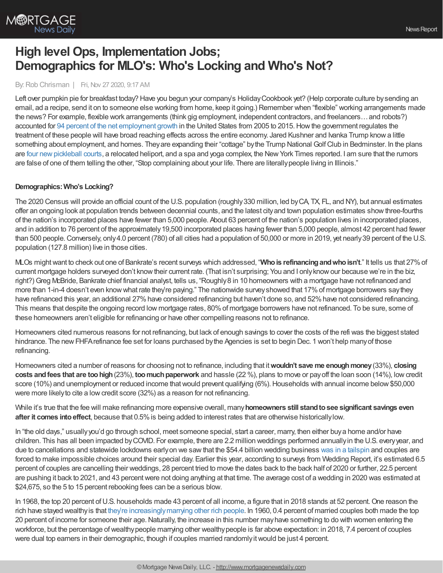

# **High level Ops, Implementation Jobs; Demographics for MLO's: Who's Locking and Who's Not?**

#### By: Rob Chrisman | Fri, Nov 27 2020, 9:17 AM

Left over pumpkin pie for breakfast today? Have you begun your company's Holiday Cookbook yet? (Help corporate culture by sending an email, ad a recipe, send it on to someone else working from home, keep it going.) Remember when "flexible" working arrangements made the news? For example, flexible work arrangements (think gig employment, independent contractors, and freelancers…and robots?) accounted for 94 percent of the net [employment](https://www.theatlantic.com/business/archive/2018/04/walmarts-future-workforce-robots-and-freelancers/557063/?ex_cid=SigDig) growth in the United States from 2005 to 2015.Howthe government regulates the treatment of these people will have broad reaching effects across the entire economy. Jared Kushner and Ivanka Trump knowa little something about employment, and homes. They are expanding their "cottage" by the Trump National Golf Club in Bedminster. In the plans are four new pickleball courts, a relocated heliport, and a spa and yoga complex, the New York Times reported. I am sure that the rumors are false of one of them telling the other, "Stop complaining about your life. There are literallypeople living in Illinois."

## **Demographics:Who's Locking?**

The 2020 Census will provide an official count of the U.S. population (roughly330 million, led byCA, TX, FL, and NY), but annual estimates offer an ongoing look at population trends between decennial counts, and the latest cityand town population estimates showthree-fourths of the nation's incorporated places have fewer than 5,000 people. About 63 percent of the nation's population lives in incorporated places, and in addition to 76 percent of the approximately19,500 incorporated places having fewer than 5,000 people, almost 42 percent had fewer than 500 people. Conversely, only 4.0 percent (780) of all cities had a population of 50,000 or more in 2019, yet nearly 39 percent of the U.S. population (127.8 million) live in those cities.

MLOs mightwant to check out one of Bankrate's recent surveys which addressed, "**Whois refinancingandwhoisn't**." It tells us that 27%of current mortgage holders surveyed don't knowtheir current rate. (That isn't surprising; You and I onlyknowour because we're in the biz, right?) Greg McBride, Bankrate chief financial analyst, tells us, "Roughly 8 in 10 homeowners with a mortgage have not refinanced and more than 1-in-4 doesn't even knowwhat rate they're paying." The nationwide surveyshowed that 17%of mortgage borrowers saythey have refinanced this year, an additional 27% have considered refinancing but haven't done so, and 52% have not considered refinancing. This means that despite the ongoing record low mortgage rates, 80%of mortgage borrowers have not refinanced. To be sure, some of these homeowners aren't eligible for refinancing or have other compelling reasons not to refinance.

Homeowners cited numerous reasons for not refinancing, but lack of enough savings to cover the costs of the refi was the biggest stated hindrance. The new FHFA refinance fee set for loans purchased by the Agencies is set to begin Dec. 1 won't help many of those refinancing.

Homeowners cited a number of reasons for choosing not to refinance, including that it**wouldn't save me enoughmoney**(33%), **closing costs and fees that are too high** (23%), too much paperwork and hassle (22 %), plans to move or payoff the loan soon (14%), low credit score (10%) and unemployment or reduced income that would prevent qualifying (6%). Households with annual income below \$50,000 were more likely to cite a low credit score (32%) as a reason for not refinancing.

While it's true that the fee will make refinancing more expensive overall, many**homeowners still standtosee significant savings even after it comes into effect**, because that 0.5% is being added to interest rates that are otherwise historicallylow.

In "the old days," usuallyyou'd go through school, meet someone special, start a career, marry, then either buya home and/or have children. This has all been impacted byCOVID. For example, there are 2.2 million weddings performed annuallyin the U.S. everyyear, and due to cancellations and statewide lockdowns earlyon we sawthat the \$54.4 billion wedding business was in a [tailspin](https://www.bloomberg.com/news/articles/2020-04-01/should-i-cancel-my-wedding-how-coronavirus-disrupts-the-industry?srnd=premium) and couples are forced to make impossible choices around their special day. Earlier this year, according to surveys from Wedding Report, it's estimated 6.5 percent of couples are cancelling their weddings, 28 percent tried to move the dates back to the back half of 2020 or further, 22.5 percent are pushing it back to 2021, and 43 percent were not doing anything at that time. The average cost of a wedding in 2020 was estimated at \$24,675, so the 5 to 15 percent rebooking fees can be a serious blow.

In 1968, the top 20 percent of U.S. households made 43 percent of all income, a figure that in 2018 stands at 52 percent. One reason the rich have stayed wealthyis that they're [increasinglymarrying](https://qz.com/work/1812980/high-income-people-in-the-us-keep-marrying-each-other/) other rich people. In 1960, 0.4 percent of married couples both made the top 20 percent of income for someone their age.Naturally, the increase in this number mayhave something to do with women entering the workforce, but the percentage of wealthy people marrying other wealthy people is far above expectation: in 2018, 7.4 percent of couples were dual top earners in their demographic, though if couples married randomlyitwould be just 4 percent.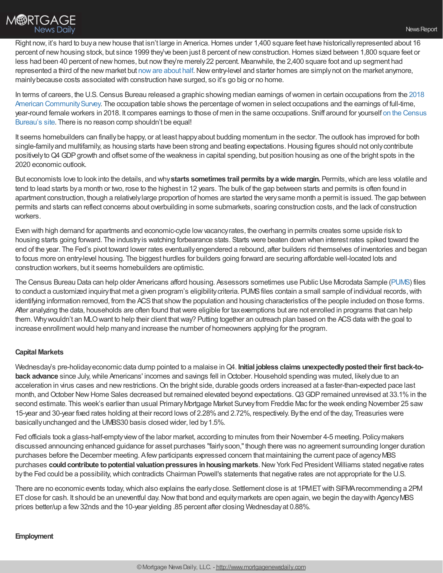

Right now, it's hard to buy a new house that isn't large in America. Homes under 1,400 square feet have historically represented about 16 percent of new housing stock, but since 1999 they've been just 8 percent of new construction. Homes sized between 1,800 square feet or less had been 40 percent of new homes, but now they're merely 22 percent. Meanwhile, the 2,400 square foot and up segment had represented a third of the new market but now are about half. New entry-level and starter homes are simply not on the market anymore, mainlybecause costs associated with construction have surged, so it's go big or no home.

In terms of careers, the U.S. Census Bureau released a graphic showing median earnings of women in certain occupations from the 2018 American Community Survey. The occupation table shows the percentage of women in select occupations and the earnings of full-time, year-round female workers in 2018. It compares earnings to those of men in the same [occupations.](https://www.census.gov/programs-surveys/acs/data.html) Sniff around for yourself on the Census Bureau's site. There is no reason comp shouldn't be equal!

It seems homebuilders can finallybe happy, or at least happyabout budding momentum in the sector. The outlook has improved for both single-family and multifamily, as housing starts have been strong and beating expectations. Housing figures should not only contribute positively to Q4 GDP growth and offset some of the weakness in capital spending, but position housing as one of the bright spots in the 2020 economic outlook.

But economists love to look into the details, and why**starts sometimes trail permits byawide margin.** Permits,which are less volatile and tend to lead starts bya month or two, rose to the highest in 12 years. The bulk of the gap between starts and permits is often found in apartment construction, though a relativelylarge proportion of homes are started the verysame month a permit is issued. The gap between permits and starts can reflect concerns about overbuilding in some submarkets, soaring construction costs, and the lack of construction workers.

Even with high demand for apartments and economic-cycle lowvacancyrates, the overhang in permits creates some upside risk to housing starts going forward. The industryis watching forbearance stats. Starts were beaten down when interest rates spiked toward the end of the year. The Fed's pivot toward lower rates eventuallyengendered a rebound, after builders rid themselves of inventories and began to focus more on entry-level housing. The biggest hurdles for builders going forward are securing affordable well-located lots and construction workers, but it seems homebuilders are optimistic.

The Census Bureau Data can help older Americans afford housing. Assessors sometimes use Public Use Microdata Sample [\(PUMS](https://www.census.gov/programs-surveys/acs/microdata.html)) files to conduct a customized inquiry that met a given program's eligibility criteria. PUMS files contain a small sample of individual records, with identifying information removed, from the ACS that show the population and housing characteristics of the people included on those forms. After analyzing the data, households are often found that were eligible for tax exemptions but are not enrolled in programs that can help them. Why wouldn't an MLO want to help their client that way? Putting together an outreach plan based on the ACS data with the goal to increase enrollment would help many and increase the number of homeowners applying for the program.

## **Capital Markets**

Wednesday's pre-holidayeconomic data dump pointed to a malaise inQ4. **Initial jobless claims unexpectedlypostedtheir first back-toback advance** since July, while Americans' incomes and savings fell in October. Household spending was muted, likely due to an acceleration in virus cases and new restrictions. On the bright side, durable goods orders increased at a faster-than-expected pace last month, and October New Home Sales decreased but remained elevated beyond expectations. Q3 GDP remained unrevised at 33.1% in the second estimate. This week's earlier than usual Primary Mortgage Market Survey from Freddie Mac for the week ending November 25 saw 15-year and 30-year fixed rates holding at their record lows of 2.28%and 2.72%, respectively. Bythe end of the day, Treasuries were basically unchanged and the UMBS30 basis closed wider, led by 1.5%.

Fed officials took a glass-half-emptyviewof the labor market, according to minutes from their November 4-5 meeting. Policymakers discussed announcing enhanced guidance for asset purchases "fairlysoon,"though there was no agreement surrounding longer duration purchases before the December meeting. Afewparticipants expressed concern that maintaining the current pace of agencyMBS purchases could contribute to potential valuation pressures in housing markets. New York Fed President Williams stated negative rates by the Fed could be a possibility, which contradicts Chairman Powell's statements that negative rates are not appropriate for the U.S.

There are no economic events today,which also explains the earlyclose. Settlement close is at 1PMETwith SIFMArecommending a 2PM ET close for cash. It should be an uneventful day. Now that bond and equity markets are open again, we begin the day with Agency MBS prices better/up a few32nds and the 10-year yielding .85 percent after closing Wednesdayat 0.88%.

#### **Employment**